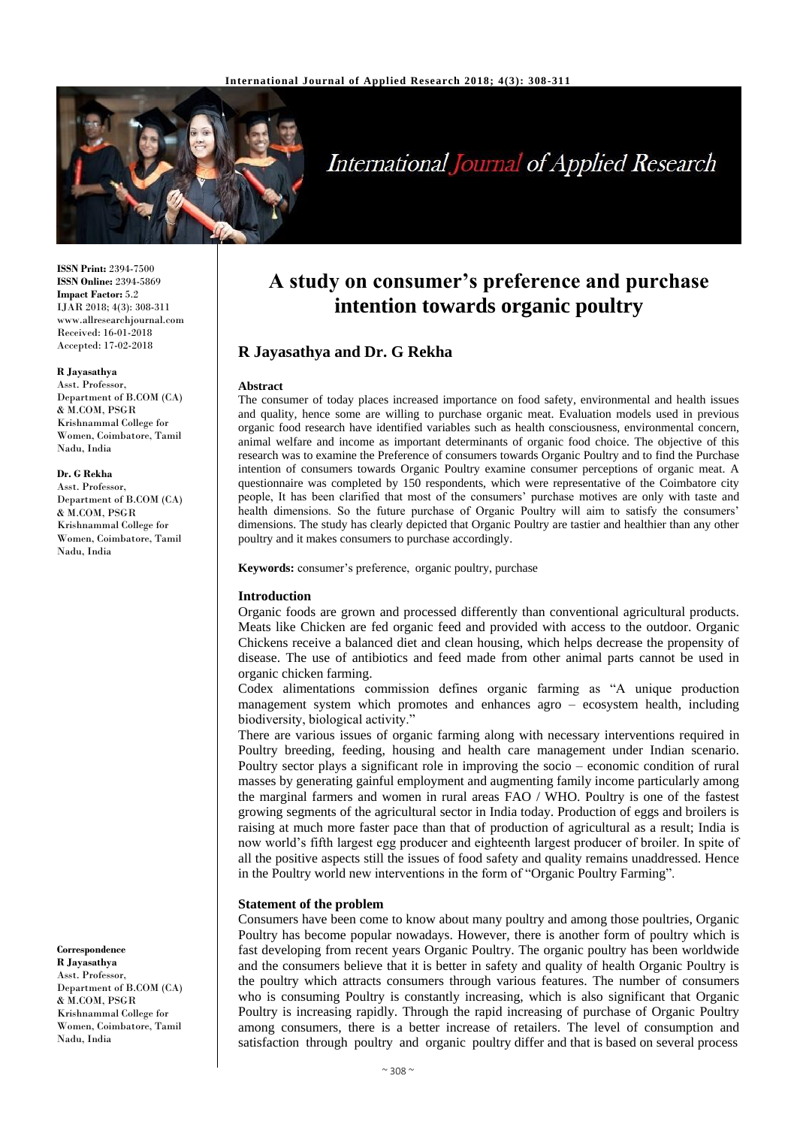

# **International Journal of Applied Research**

**ISSN Print:** 2394-7500 **ISSN Online:** 2394-5869 **Impact Factor:** 5.2 IJAR 2018; 4(3): 308-311 www.allresearchjournal.com Received: 16-01-2018 Accepted: 17-02-2018

#### **R Jayasathya**

Asst. Professor, Department of B.COM (CA) & M.COM, PSGR Krishnammal College for Women, Coimbatore, Tamil Nadu, India

#### **Dr. G Rekha**

Asst. Professor, Department of B.COM (CA) & M.COM, PSGR Krishnammal College for Women, Coimbatore, Tamil Nadu, India

**Correspondence R Jayasathya** Asst. Professor,

Department of B.COM (CA) & M.COM, PSGR Krishnammal College for Women, Coimbatore, Tamil Nadu, India

## **A study on consumer's preference and purchase intention towards organic poultry**

## **R Jayasathya and Dr. G Rekha**

#### **Abstract**

The consumer of today places increased importance on food safety, environmental and health issues and quality, hence some are willing to purchase organic meat. Evaluation models used in previous organic food research have identified variables such as health consciousness, environmental concern, animal welfare and income as important determinants of organic food choice. The objective of this research was to examine the Preference of consumers towards Organic Poultry and to find the Purchase intention of consumers towards Organic Poultry examine consumer perceptions of organic meat. A questionnaire was completed by 150 respondents, which were representative of the Coimbatore city people, It has been clarified that most of the consumers' purchase motives are only with taste and health dimensions. So the future purchase of Organic Poultry will aim to satisfy the consumers' dimensions. The study has clearly depicted that Organic Poultry are tastier and healthier than any other poultry and it makes consumers to purchase accordingly.

**Keywords:** consumer's preference, organic poultry, purchase

#### **Introduction**

Organic foods are grown and processed differently than conventional agricultural products. Meats like Chicken are fed organic feed and provided with access to the outdoor. Organic Chickens receive a balanced diet and clean housing, which helps decrease the propensity of disease. The use of antibiotics and feed made from other animal parts cannot be used in organic chicken farming.

Codex alimentations commission defines organic farming as "A unique production management system which promotes and enhances agro – ecosystem health, including biodiversity, biological activity."

There are various issues of organic farming along with necessary interventions required in Poultry breeding, feeding, housing and health care management under Indian scenario. Poultry sector plays a significant role in improving the socio – economic condition of rural masses by generating gainful employment and augmenting family income particularly among the marginal farmers and women in rural areas FAO / WHO. Poultry is one of the fastest growing segments of the agricultural sector in India today. Production of eggs and broilers is raising at much more faster pace than that of production of agricultural as a result; India is now world's fifth largest egg producer and eighteenth largest producer of broiler. In spite of all the positive aspects still the issues of food safety and quality remains unaddressed. Hence in the Poultry world new interventions in the form of "Organic Poultry Farming".

#### **Statement of the problem**

Consumers have been come to know about many poultry and among those poultries, Organic Poultry has become popular nowadays. However, there is another form of poultry which is fast developing from recent years Organic Poultry. The organic poultry has been worldwide and the consumers believe that it is better in safety and quality of health Organic Poultry is the poultry which attracts consumers through various features. The number of consumers who is consuming Poultry is constantly increasing, which is also significant that Organic Poultry is increasing rapidly. Through the rapid increasing of purchase of Organic Poultry among consumers, there is a better increase of retailers. The level of consumption and satisfaction through poultry and organic poultry differ and that is based on several process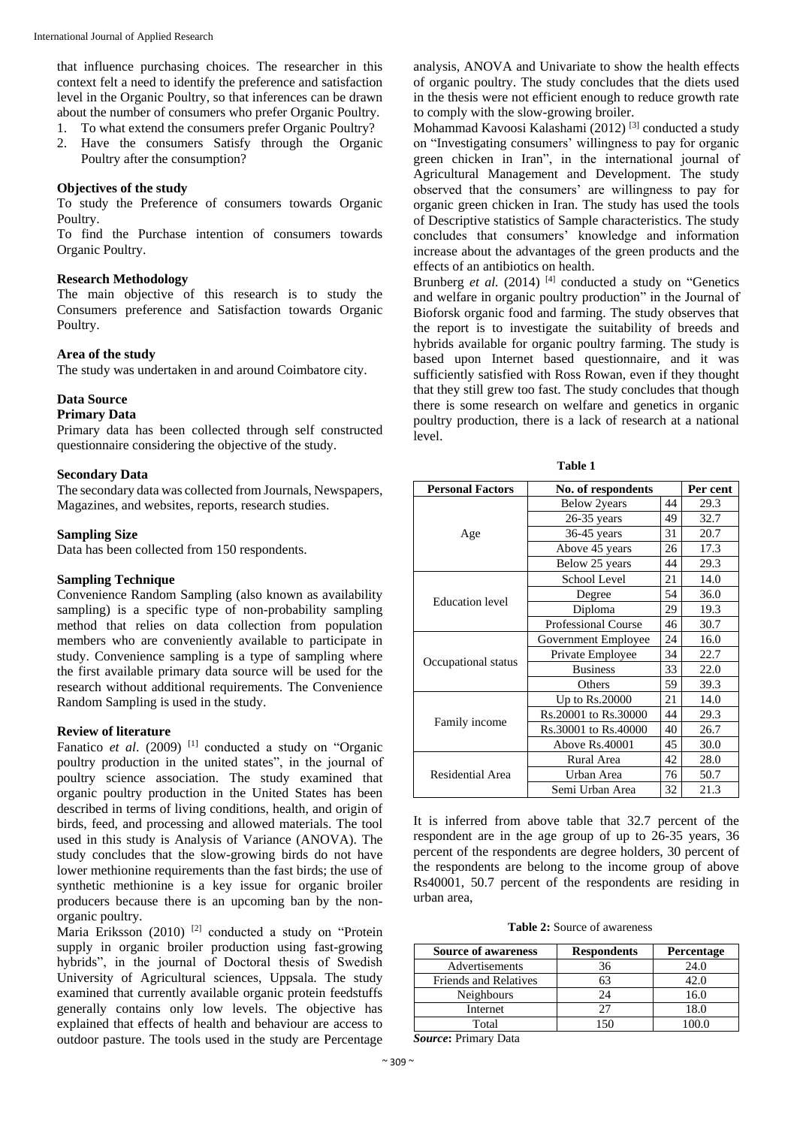that influence purchasing choices. The researcher in this context felt a need to identify the preference and satisfaction level in the Organic Poultry, so that inferences can be drawn about the number of consumers who prefer Organic Poultry.

1. To what extend the consumers prefer Organic Poultry?

2. Have the consumers Satisfy through the Organic Poultry after the consumption?

#### **Objectives of the study**

To study the Preference of consumers towards Organic Poultry.

To find the Purchase intention of consumers towards Organic Poultry.

#### **Research Methodology**

The main objective of this research is to study the Consumers preference and Satisfaction towards Organic Poultry.

#### **Area of the study**

The study was undertaken in and around Coimbatore city.

## **Data Source**

## **Primary Data**

Primary data has been collected through self constructed questionnaire considering the objective of the study.

## **Secondary Data**

The secondary data was collected from Journals, Newspapers, Magazines, and websites, reports, research studies.

## **Sampling Size**

Data has been collected from 150 respondents.

## **Sampling Technique**

Convenience Random Sampling (also known as availability sampling) is a specific type of non-probability sampling method that relies on data collection from population members who are conveniently available to participate in study. Convenience sampling is a type of sampling where the first available primary data source will be used for the research without additional requirements. The Convenience Random Sampling is used in the study.

#### **Review of literature**

Fanatico et al. (2009)<sup>[1]</sup> conducted a study on "Organic poultry production in the united states", in the journal of poultry science association. The study examined that organic poultry production in the United States has been described in terms of living conditions, health, and origin of birds, feed, and processing and allowed materials. The tool used in this study is Analysis of Variance (ANOVA). The study concludes that the slow-growing birds do not have lower methionine requirements than the fast birds; the use of synthetic methionine is a key issue for organic broiler producers because there is an upcoming ban by the nonorganic poultry.

Maria Eriksson (2010)<sup>[2]</sup> conducted a study on "Protein supply in organic broiler production using fast-growing hybrids", in the journal of Doctoral thesis of Swedish University of Agricultural sciences, Uppsala. The study examined that currently available organic protein feedstuffs generally contains only low levels. The objective has explained that effects of health and behaviour are access to outdoor pasture. The tools used in the study are Percentage analysis, ANOVA and Univariate to show the health effects of organic poultry. The study concludes that the diets used in the thesis were not efficient enough to reduce growth rate to comply with the slow-growing broiler.

Mohammad Kavoosi Kalashami (2012)<sup>[3]</sup> conducted a study on "Investigating consumers' willingness to pay for organic green chicken in Iran", in the international journal of Agricultural Management and Development. The study observed that the consumers' are willingness to pay for organic green chicken in Iran. The study has used the tools of Descriptive statistics of Sample characteristics. The study concludes that consumers' knowledge and information increase about the advantages of the green products and the effects of an antibiotics on health.

Brunberg et al. (2014)<sup>[4]</sup> conducted a study on "Genetics and welfare in organic poultry production" in the Journal of Bioforsk organic food and farming. The study observes that the report is to investigate the suitability of breeds and hybrids available for organic poultry farming. The study is based upon Internet based questionnaire, and it was sufficiently satisfied with Ross Rowan, even if they thought that they still grew too fast. The study concludes that though there is some research on welfare and genetics in organic poultry production, there is a lack of research at a national level.

**Table 1**

| <b>Personal Factors</b> | No. of respondents         | Per cent |      |
|-------------------------|----------------------------|----------|------|
|                         | <b>Below</b> 2years        |          | 29.3 |
|                         | 49<br>$26-35$ years        |          | 32.7 |
| Age                     | $36-45$ years<br>31        |          | 20.7 |
|                         | Above 45 years             | 26       | 17.3 |
|                         | Below 25 years             | 44       | 29.3 |
|                         | School Level               | 21       | 14.0 |
| Education level         | Degree                     | 54       | 36.0 |
|                         | 29<br>Diploma              |          | 19.3 |
|                         | <b>Professional Course</b> |          | 30.7 |
| Occupational status     | Government Employee        |          | 16.0 |
|                         | Private Employee           |          | 22.7 |
|                         | <b>Business</b>            |          | 22.0 |
|                         | Others                     |          | 39.3 |
|                         | 21<br>Up to Rs.20000       |          | 14.0 |
| Family income           | Rs.20001 to Rs.30000       | 44       | 29.3 |
|                         | Rs.30001 to Rs.40000       |          | 26.7 |
|                         | Above Rs.40001             |          | 30.0 |
| Residential Area        | Rural Area                 |          | 28.0 |
|                         | Urban Area                 |          | 50.7 |
|                         | Semi Urban Area            |          | 21.3 |

It is inferred from above table that 32.7 percent of the respondent are in the age group of up to 26-35 years, 36 percent of the respondents are degree holders, 30 percent of the respondents are belong to the income group of above Rs40001, 50.7 percent of the respondents are residing in urban area,

| <b>Table 2:</b> Source of awareness |
|-------------------------------------|
|-------------------------------------|

| <b>Source of awareness</b>   | <b>Respondents</b> | <b>Percentage</b> |
|------------------------------|--------------------|-------------------|
| Advertisements               | 36                 | 24.0              |
| <b>Friends and Relatives</b> |                    | 42 O              |
| <b>Neighbours</b>            |                    | 16.0              |
| Internet                     |                    | $^{\circ}8.0$     |
| Total                        |                    |                   |

*Source***:** Primary Data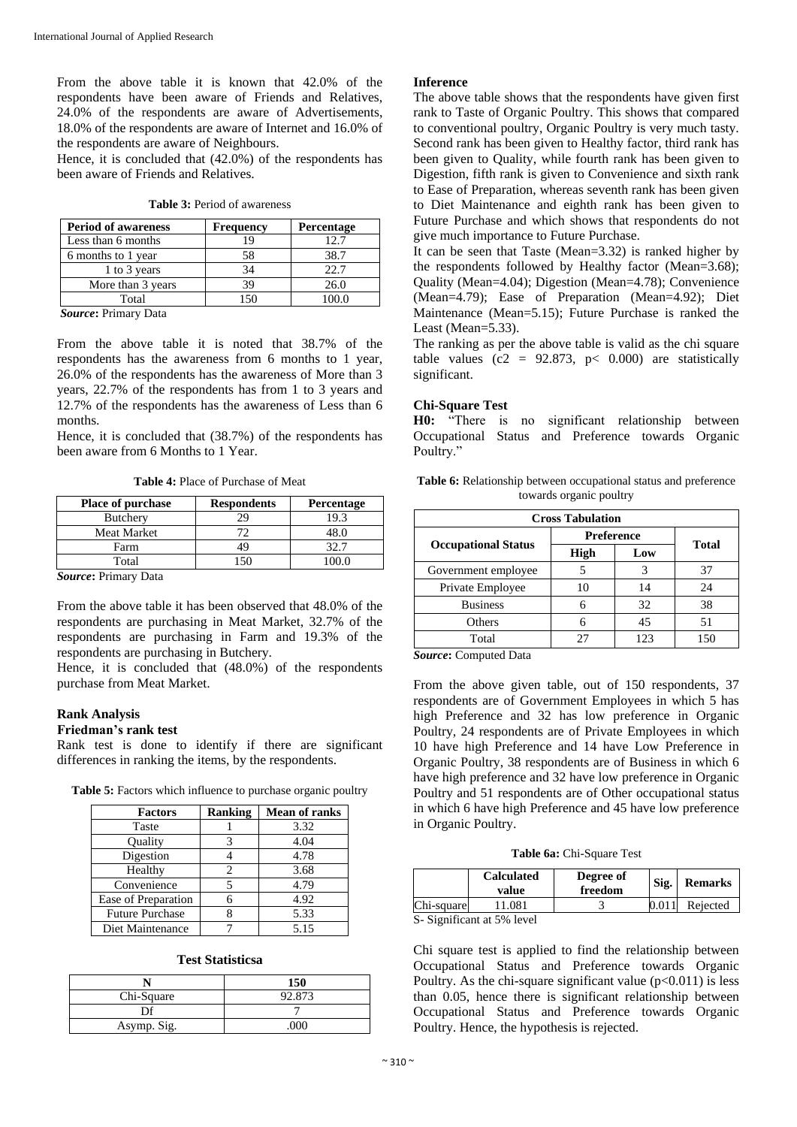From the above table it is known that 42.0% of the respondents have been aware of Friends and Relatives, 24.0% of the respondents are aware of Advertisements, 18.0% of the respondents are aware of Internet and 16.0% of the respondents are aware of Neighbours.

Hence, it is concluded that (42.0%) of the respondents has been aware of Friends and Relatives.

| <b>Period of awareness</b> | <b>Frequency</b> | Percentage |
|----------------------------|------------------|------------|
| Less than 6 months         | 19               | 12.7       |
| 6 months to 1 year         | 58               | 38.7       |
| 1 to 3 years               | 34               | 22.7       |
| More than 3 years          | 39               | 26.0       |
| Total                      | ۱۲0              | 00 Q       |

**Table 3:** Period of awareness

*Source***:** Primary Data

From the above table it is noted that 38.7% of the respondents has the awareness from 6 months to 1 year, 26.0% of the respondents has the awareness of More than 3 years, 22.7% of the respondents has from 1 to 3 years and 12.7% of the respondents has the awareness of Less than 6 months.

Hence, it is concluded that (38.7%) of the respondents has been aware from 6 Months to 1 Year.

**Table 4:** Place of Purchase of Meat

| <b>Place of purchase</b>                  | <b>Respondents</b> | <b>Percentage</b> |
|-------------------------------------------|--------------------|-------------------|
| <b>Butchery</b>                           | 29                 | 19.3              |
| <b>Meat Market</b>                        | 72                 | 48.0              |
| Farm                                      | 49                 | 32.7              |
| Total                                     |                    |                   |
| $\sim$<br>$\mathbf{r}$ .<br>$\sim$ $\sim$ |                    |                   |

*Source***:** Primary Data

From the above table it has been observed that 48.0% of the respondents are purchasing in Meat Market, 32.7% of the respondents are purchasing in Farm and 19.3% of the respondents are purchasing in Butchery.

Hence, it is concluded that (48.0%) of the respondents purchase from Meat Market.

## **Rank Analysis**

#### **Friedman's rank test**

Rank test is done to identify if there are significant differences in ranking the items, by the respondents.

**Table 5:** Factors which influence to purchase organic poultry

| <b>Factors</b>         | <b>Ranking</b> | <b>Mean of ranks</b> |
|------------------------|----------------|----------------------|
| Taste                  |                | 3.32                 |
| Quality                |                | 4.04                 |
| Digestion              |                | 4.78                 |
| Healthy                |                | 3.68                 |
| Convenience            |                | 4.79                 |
| Ease of Preparation    |                | 4.92                 |
| <b>Future Purchase</b> |                | 5.33                 |
| Diet Maintenance       |                | 5.15                 |

#### **Test Statisticsa**

|             | 150    |
|-------------|--------|
| Chi-Square  | 92.873 |
|             |        |
| Asymp. Sig. |        |

## **Inference**

The above table shows that the respondents have given first rank to Taste of Organic Poultry. This shows that compared to conventional poultry, Organic Poultry is very much tasty. Second rank has been given to Healthy factor, third rank has been given to Quality, while fourth rank has been given to Digestion, fifth rank is given to Convenience and sixth rank to Ease of Preparation, whereas seventh rank has been given to Diet Maintenance and eighth rank has been given to Future Purchase and which shows that respondents do not give much importance to Future Purchase.

It can be seen that Taste (Mean=3.32) is ranked higher by the respondents followed by Healthy factor (Mean=3.68); Quality (Mean=4.04); Digestion (Mean=4.78); Convenience (Mean=4.79); Ease of Preparation (Mean=4.92); Diet Maintenance (Mean=5.15); Future Purchase is ranked the Least (Mean=5.33).

The ranking as per the above table is valid as the chi square table values ( $c2 = 92.873$ ,  $p < 0.000$ ) are statistically significant.

#### **Chi-Square Test**

**H0:** "There is no significant relationship between Occupational Status and Preference towards Organic Poultry."

| <b>Table 6:</b> Relationship between occupational status and preference |
|-------------------------------------------------------------------------|
| towards organic poultry                                                 |

| <b>Cross Tabulation</b>    |                   |     |              |  |
|----------------------------|-------------------|-----|--------------|--|
|                            | <b>Preference</b> |     | <b>Total</b> |  |
| <b>Occupational Status</b> | High              | Low |              |  |
| Government employee        |                   |     | 37           |  |
| Private Employee           | 10                | 14  | 24           |  |
| <b>Business</b>            |                   | 32  | 38           |  |
| Others                     |                   | 45  | 51           |  |
| Total                      | 27                | 123 | 150          |  |

*Source***:** Computed Data

From the above given table, out of 150 respondents, 37 respondents are of Government Employees in which 5 has high Preference and 32 has low preference in Organic Poultry, 24 respondents are of Private Employees in which 10 have high Preference and 14 have Low Preference in Organic Poultry, 38 respondents are of Business in which 6 have high preference and 32 have low preference in Organic Poultry and 51 respondents are of Other occupational status in which 6 have high Preference and 45 have low preference in Organic Poultry.

|  | Table 6a: Chi-Square Test |  |
|--|---------------------------|--|
|--|---------------------------|--|

|            | <b>Calculated</b><br>value     | Degree of<br>freedom | Sig. | <b>Remarks</b> |
|------------|--------------------------------|----------------------|------|----------------|
| Chi-square | 11.081                         |                      |      | Rejected       |
|            | $C$ Cignificant of $50/$ lavel |                      |      |                |

S- Significant at 5% level

Chi square test is applied to find the relationship between Occupational Status and Preference towards Organic Poultry. As the chi-square significant value  $(p<0.011)$  is less than 0.05, hence there is significant relationship between Occupational Status and Preference towards Organic Poultry. Hence, the hypothesis is rejected.